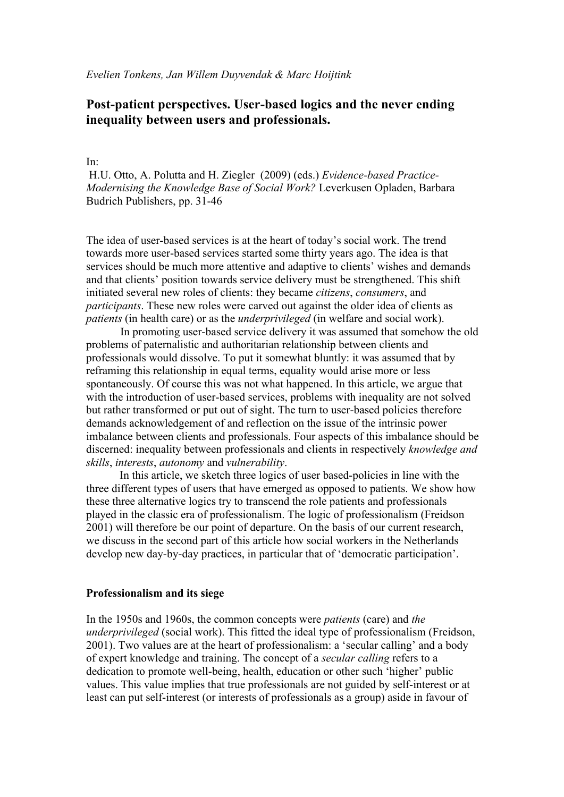# **Post-patient perspectives. User-based logics and the never ending inequality between users and professionals.**

## In:

H.U. Otto, A. Polutta and H. Ziegler (2009) (eds.) *Evidence-based Practice-Modernising the Knowledge Base of Social Work?* Leverkusen Opladen, Barbara Budrich Publishers, pp. 31-46

The idea of user-based services is at the heart of today's social work. The trend towards more user-based services started some thirty years ago. The idea is that services should be much more attentive and adaptive to clients' wishes and demands and that clients' position towards service delivery must be strengthened. This shift initiated several new roles of clients: they became *citizens*, *consumers*, and *participants*. These new roles were carved out against the older idea of clients as *patients* (in health care) or as the *underprivileged* (in welfare and social work).

In promoting user-based service delivery it was assumed that somehow the old problems of paternalistic and authoritarian relationship between clients and professionals would dissolve. To put it somewhat bluntly: it was assumed that by reframing this relationship in equal terms, equality would arise more or less spontaneously. Of course this was not what happened. In this article, we argue that with the introduction of user-based services, problems with inequality are not solved but rather transformed or put out of sight. The turn to user-based policies therefore demands acknowledgement of and reflection on the issue of the intrinsic power imbalance between clients and professionals. Four aspects of this imbalance should be discerned: inequality between professionals and clients in respectively *knowledge and skills*, *interests*, *autonomy* and *vulnerability*.

In this article, we sketch three logics of user based-policies in line with the three different types of users that have emerged as opposed to patients. We show how these three alternative logics try to transcend the role patients and professionals played in the classic era of professionalism. The logic of professionalism (Freidson 2001) will therefore be our point of departure. On the basis of our current research, we discuss in the second part of this article how social workers in the Netherlands develop new day-by-day practices, in particular that of 'democratic participation'.

#### **Professionalism and its siege**

In the 1950s and 1960s, the common concepts were *patients* (care) and *the underprivileged* (social work). This fitted the ideal type of professionalism (Freidson, 2001). Two values are at the heart of professionalism: a 'secular calling' and a body of expert knowledge and training. The concept of a *secular calling* refers to a dedication to promote well-being, health, education or other such 'higher' public values. This value implies that true professionals are not guided by self-interest or at least can put self-interest (or interests of professionals as a group) aside in favour of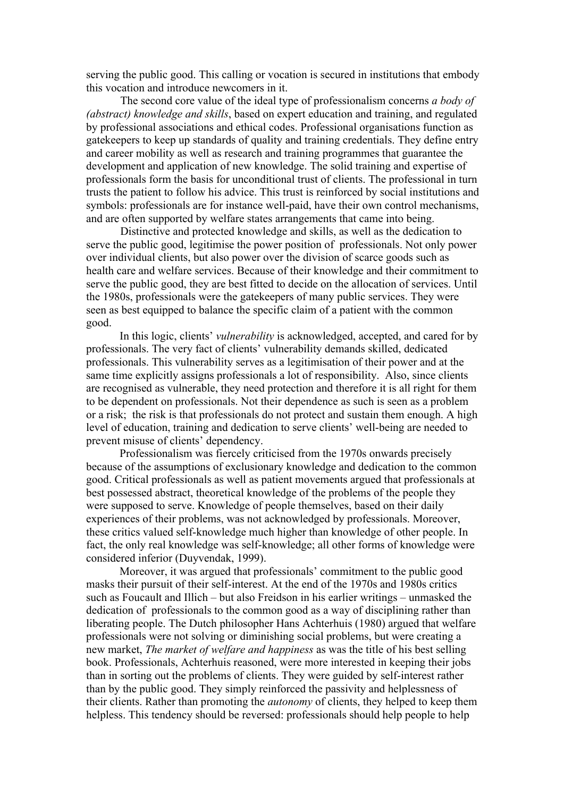serving the public good. This calling or vocation is secured in institutions that embody this vocation and introduce newcomers in it.

The second core value of the ideal type of professionalism concerns *a body of (abstract) knowledge and skills*, based on expert education and training, and regulated by professional associations and ethical codes. Professional organisations function as gatekeepers to keep up standards of quality and training credentials. They define entry and career mobility as well as research and training programmes that guarantee the development and application of new knowledge. The solid training and expertise of professionals form the basis for unconditional trust of clients. The professional in turn trusts the patient to follow his advice. This trust is reinforced by social institutions and symbols: professionals are for instance well-paid, have their own control mechanisms, and are often supported by welfare states arrangements that came into being.

Distinctive and protected knowledge and skills, as well as the dedication to serve the public good, legitimise the power position of professionals. Not only power over individual clients, but also power over the division of scarce goods such as health care and welfare services. Because of their knowledge and their commitment to serve the public good, they are best fitted to decide on the allocation of services. Until the 1980s, professionals were the gatekeepers of many public services. They were seen as best equipped to balance the specific claim of a patient with the common good.

In this logic, clients' *vulnerability* is acknowledged, accepted, and cared for by professionals. The very fact of clients' vulnerability demands skilled, dedicated professionals. This vulnerability serves as a legitimisation of their power and at the same time explicitly assigns professionals a lot of responsibility. Also, since clients are recognised as vulnerable, they need protection and therefore it is all right for them to be dependent on professionals. Not their dependence as such is seen as a problem or a risk; the risk is that professionals do not protect and sustain them enough. A high level of education, training and dedication to serve clients' well-being are needed to prevent misuse of clients' dependency.

Professionalism was fiercely criticised from the 1970s onwards precisely because of the assumptions of exclusionary knowledge and dedication to the common good. Critical professionals as well as patient movements argued that professionals at best possessed abstract, theoretical knowledge of the problems of the people they were supposed to serve. Knowledge of people themselves, based on their daily experiences of their problems, was not acknowledged by professionals. Moreover, these critics valued self-knowledge much higher than knowledge of other people. In fact, the only real knowledge was self-knowledge; all other forms of knowledge were considered inferior (Duyvendak, 1999).

Moreover, it was argued that professionals' commitment to the public good masks their pursuit of their self-interest. At the end of the 1970s and 1980s critics such as Foucault and Illich – but also Freidson in his earlier writings – unmasked the dedication of professionals to the common good as a way of disciplining rather than liberating people. The Dutch philosopher Hans Achterhuis (1980) argued that welfare professionals were not solving or diminishing social problems, but were creating a new market, *The market of welfare and happiness* as was the title of his best selling book. Professionals, Achterhuis reasoned, were more interested in keeping their jobs than in sorting out the problems of clients. They were guided by self-interest rather than by the public good. They simply reinforced the passivity and helplessness of their clients. Rather than promoting the *autonomy* of clients, they helped to keep them helpless. This tendency should be reversed: professionals should help people to help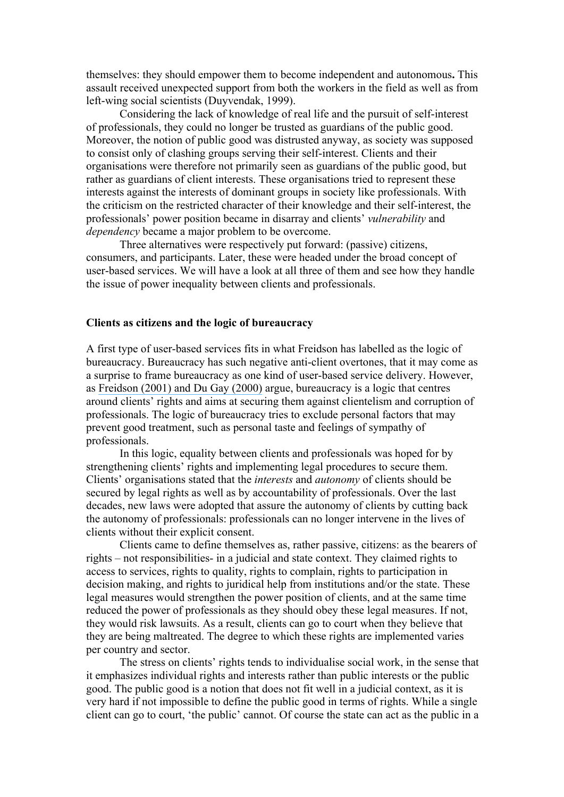themselves: they should empower them to become independent and autonomous**.** This assault received unexpected support from both the workers in the field as well as from left-wing social scientists (Duyvendak, 1999).

Considering the lack of knowledge of real life and the pursuit of self-interest of professionals, they could no longer be trusted as guardians of the public good. Moreover, the notion of public good was distrusted anyway, as society was supposed to consist only of clashing groups serving their self-interest. Clients and their organisations were therefore not primarily seen as guardians of the public good, but rather as guardians of client interests. These organisations tried to represent these interests against the interests of dominant groups in society like professionals. With the criticism on the restricted character of their knowledge and their self-interest, the professionals' power position became in disarray and clients' *vulnerability* and *dependency* became a major problem to be overcome.

Three alternatives were respectively put forward: (passive) citizens, consumers, and participants. Later, these were headed under the broad concept of user-based services. We will have a look at all three of them and see how they handle the issue of power inequality between clients and professionals.

#### **Clients as citizens and the logic of bureaucracy**

A first type of user-based services fits in what Freidson has labelled as the logic of bureaucracy. Bureaucracy has such negative anti-client overtones, that it may come as a surprise to frame bureaucracy as one kind of user-based service delivery. However, as Freidson (2001) and Du Gay (2000) argue, bureaucracy is a logic that centres around clients' rights and aims at securing them against clientelism and corruption of professionals. The logic of bureaucracy tries to exclude personal factors that may prevent good treatment, such as personal taste and feelings of sympathy of professionals.

In this logic, equality between clients and professionals was hoped for by strengthening clients' rights and implementing legal procedures to secure them. Clients' organisations stated that the *interests* and *autonomy* of clients should be secured by legal rights as well as by accountability of professionals. Over the last decades, new laws were adopted that assure the autonomy of clients by cutting back the autonomy of professionals: professionals can no longer intervene in the lives of clients without their explicit consent.

Clients came to define themselves as, rather passive, citizens: as the bearers of rights – not responsibilities- in a judicial and state context. They claimed rights to access to services, rights to quality, rights to complain, rights to participation in decision making, and rights to juridical help from institutions and/or the state. These legal measures would strengthen the power position of clients, and at the same time reduced the power of professionals as they should obey these legal measures. If not, they would risk lawsuits. As a result, clients can go to court when they believe that they are being maltreated. The degree to which these rights are implemented varies per country and sector.

The stress on clients' rights tends to individualise social work, in the sense that it emphasizes individual rights and interests rather than public interests or the public good. The public good is a notion that does not fit well in a judicial context, as it is very hard if not impossible to define the public good in terms of rights. While a single client can go to court, 'the public' cannot. Of course the state can act as the public in a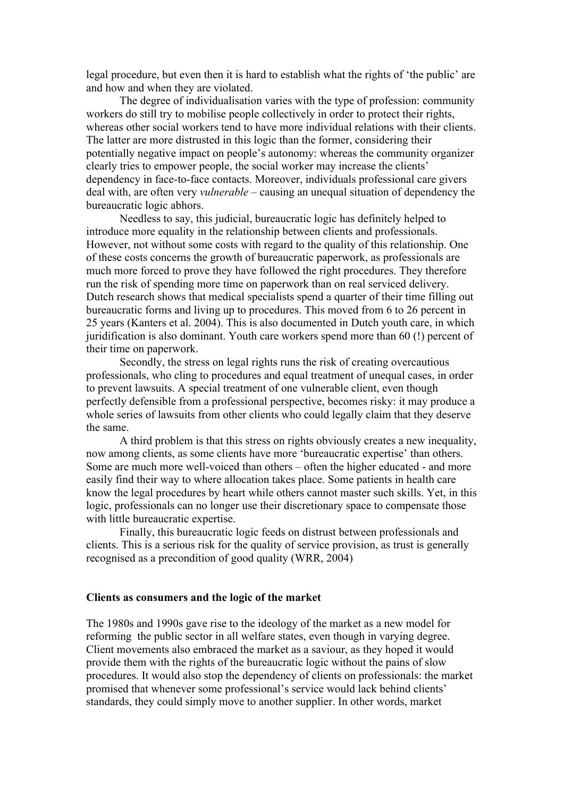legal procedure, but even then it is hard to establish what the rights of 'the public' are and how and when they are violated.

The degree of individualisation varies with the type of profession: community workers do still try to mobilise people collectively in order to protect their rights, whereas other social workers tend to have more individual relations with their clients. The latter are more distrusted in this logic than the former, considering their potentially negative impact on people's autonomy: whereas the community organizer clearly tries to empower people, the social worker may increase the clients' dependency in face-to-face contacts. Moreover, individuals professional care givers deal with, are often very *vulnerable* – causing an unequal situation of dependency the bureaucratic logic abhors.

Needless to say, this judicial, bureaucratic logic has definitely helped to introduce more equality in the relationship between clients and professionals. However, not without some costs with regard to the quality of this relationship. One of these costs concerns the growth of bureaucratic paperwork, as professionals are much more forced to prove they have followed the right procedures. They therefore run the risk of spending more time on paperwork than on real serviced delivery. Dutch research shows that medical specialists spend a quarter of their time filling out bureaucratic forms and living up to procedures. This moved from 6 to 26 percent in 25 years (Kanters et al. 2004). This is also documented in Dutch youth care, in which juridification is also dominant. Youth care workers spend more than 60 (!) percent of their time on paperwork.

Secondly, the stress on legal rights runs the risk of creating overcautious professionals, who cling to procedures and equal treatment of unequal cases, in order to prevent lawsuits. A special treatment of one vulnerable client, even though perfectly defensible from a professional perspective, becomes risky: it may produce a whole series of lawsuits from other clients who could legally claim that they deserve the same.

A third problem is that this stress on rights obviously creates a new inequality, now among clients, as some clients have more 'bureaucratic expertise' than others. Some are much more well-voiced than others – often the higher educated - and more easily find their way to where allocation takes place. Some patients in health care know the legal procedures by heart while others cannot master such skills. Yet, in this logic, professionals can no longer use their discretionary space to compensate those with little bureaucratic expertise.

Finally, this bureaucratic logic feeds on distrust between professionals and clients. This is a serious risk for the quality of service provision, as trust is generally recognised as a precondition of good quality (WRR, 2004)

#### **Clients as consumers and the logic of the market**

The 1980s and 1990s gave rise to the ideology of the market as a new model for reforming the public sector in all welfare states, even though in varying degree. Client movements also embraced the market as a saviour, as they hoped it would provide them with the rights of the bureaucratic logic without the pains of slow procedures. It would also stop the dependency of clients on professionals: the market promised that whenever some professional's service would lack behind clients' standards, they could simply move to another supplier. In other words, market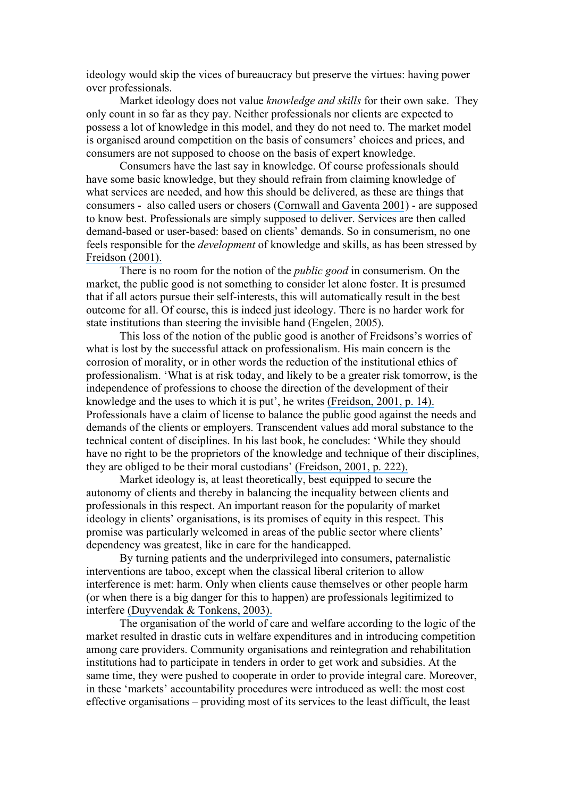ideology would skip the vices of bureaucracy but preserve the virtues: having power over professionals.

Market ideology does not value *knowledge and skills* for their own sake. They only count in so far as they pay. Neither professionals nor clients are expected to possess a lot of knowledge in this model, and they do not need to. The market model is organised around competition on the basis of consumers' choices and prices, and consumers are not supposed to choose on the basis of expert knowledge.

Consumers have the last say in knowledge. Of course professionals should have some basic knowledge, but they should refrain from claiming knowledge of what services are needed, and how this should be delivered, as these are things that consumers - also called users or chosers (Cornwall and Gaventa 2001) - are supposed to know best. Professionals are simply supposed to deliver. Services are then called demand-based or user-based: based on clients' demands. So in consumerism, no one feels responsible for the *development* of knowledge and skills, as has been stressed by Freidson (2001).

There is no room for the notion of the *public good* in consumerism. On the market, the public good is not something to consider let alone foster. It is presumed that if all actors pursue their self-interests, this will automatically result in the best outcome for all. Of course, this is indeed just ideology. There is no harder work for state institutions than steering the invisible hand (Engelen, 2005).

This loss of the notion of the public good is another of Freidsons's worries of what is lost by the successful attack on professionalism. His main concern is the corrosion of morality, or in other words the reduction of the institutional ethics of professionalism. 'What is at risk today, and likely to be a greater risk tomorrow, is the independence of professions to choose the direction of the development of their knowledge and the uses to which it is put', he writes (Freidson, 2001, p. 14). Professionals have a claim of license to balance the public good against the needs and demands of the clients or employers. Transcendent values add moral substance to the technical content of disciplines. In his last book, he concludes: 'While they should have no right to be the proprietors of the knowledge and technique of their disciplines, they are obliged to be their moral custodians' (Freidson, 2001, p. 222).

Market ideology is, at least theoretically, best equipped to secure the autonomy of clients and thereby in balancing the inequality between clients and professionals in this respect. An important reason for the popularity of market ideology in clients' organisations, is its promises of equity in this respect. This promise was particularly welcomed in areas of the public sector where clients' dependency was greatest, like in care for the handicapped.

By turning patients and the underprivileged into consumers, paternalistic interventions are taboo, except when the classical liberal criterion to allow interference is met: harm. Only when clients cause themselves or other people harm (or when there is a big danger for this to happen) are professionals legitimized to interfere (Duyvendak & Tonkens, 2003).

The organisation of the world of care and welfare according to the logic of the market resulted in drastic cuts in welfare expenditures and in introducing competition among care providers. Community organisations and reintegration and rehabilitation institutions had to participate in tenders in order to get work and subsidies. At the same time, they were pushed to cooperate in order to provide integral care. Moreover, in these 'markets' accountability procedures were introduced as well: the most cost effective organisations – providing most of its services to the least difficult, the least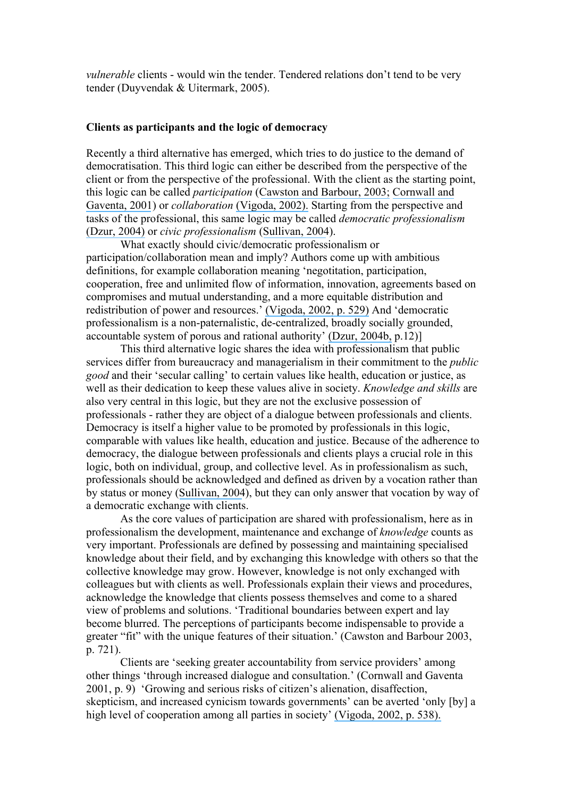*vulnerable* clients - would win the tender. Tendered relations don't tend to be very tender (Duyvendak & Uitermark, 2005).

## **Clients as participants and the logic of democracy**

Recently a third alternative has emerged, which tries to do justice to the demand of democratisation. This third logic can either be described from the perspective of the client or from the perspective of the professional. With the client as the starting point, this logic can be called *participation* (Cawston and Barbour, 2003; Cornwall and Gaventa, 2001) or *collaboration* (Vigoda, 2002). Starting from the perspective and tasks of the professional, this same logic may be called *democratic professionalism* (Dzur, 2004) or *civic professionalism* (Sullivan, 2004).

What exactly should civic/democratic professionalism or participation/collaboration mean and imply? Authors come up with ambitious definitions, for example collaboration meaning 'negotitation, participation, cooperation, free and unlimited flow of information, innovation, agreements based on compromises and mutual understanding, and a more equitable distribution and redistribution of power and resources.' (Vigoda, 2002, p. 529) And 'democratic professionalism is a non-paternalistic, de-centralized, broadly socially grounded, accountable system of porous and rational authority' (Dzur, 2004b, p.12)]

This third alternative logic shares the idea with professionalism that public services differ from bureaucracy and managerialism in their commitment to the *public good* and their 'secular calling' to certain values like health, education or justice, as well as their dedication to keep these values alive in society. *Knowledge and skills* are also very central in this logic, but they are not the exclusive possession of professionals - rather they are object of a dialogue between professionals and clients. Democracy is itself a higher value to be promoted by professionals in this logic, comparable with values like health, education and justice. Because of the adherence to democracy, the dialogue between professionals and clients plays a crucial role in this logic, both on individual, group, and collective level. As in professionalism as such, professionals should be acknowledged and defined as driven by a vocation rather than by status or money (Sullivan, 2004), but they can only answer that vocation by way of a democratic exchange with clients.

As the core values of participation are shared with professionalism, here as in professionalism the development, maintenance and exchange of *knowledge* counts as very important. Professionals are defined by possessing and maintaining specialised knowledge about their field, and by exchanging this knowledge with others so that the collective knowledge may grow. However, knowledge is not only exchanged with colleagues but with clients as well. Professionals explain their views and procedures, acknowledge the knowledge that clients possess themselves and come to a shared view of problems and solutions. 'Traditional boundaries between expert and lay become blurred. The perceptions of participants become indispensable to provide a greater "fit" with the unique features of their situation.' (Cawston and Barbour 2003, p. 721).

Clients are 'seeking greater accountability from service providers' among other things 'through increased dialogue and consultation.' (Cornwall and Gaventa 2001, p. 9) 'Growing and serious risks of citizen's alienation, disaffection, skepticism, and increased cynicism towards governments' can be averted 'only [by] a high level of cooperation among all parties in society' (Vigoda, 2002, p. 538).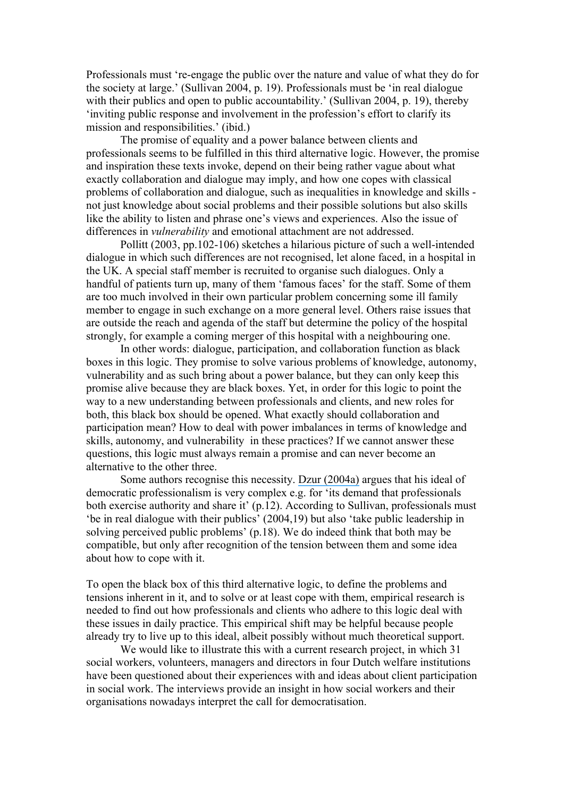Professionals must 're-engage the public over the nature and value of what they do for the society at large.' (Sullivan 2004, p. 19). Professionals must be 'in real dialogue with their publics and open to public accountability.' (Sullivan 2004, p. 19), thereby 'inviting public response and involvement in the profession's effort to clarify its mission and responsibilities.' (ibid.)

The promise of equality and a power balance between clients and professionals seems to be fulfilled in this third alternative logic. However, the promise and inspiration these texts invoke, depend on their being rather vague about what exactly collaboration and dialogue may imply, and how one copes with classical problems of collaboration and dialogue, such as inequalities in knowledge and skills not just knowledge about social problems and their possible solutions but also skills like the ability to listen and phrase one's views and experiences. Also the issue of differences in *vulnerability* and emotional attachment are not addressed.

Pollitt (2003, pp.102-106) sketches a hilarious picture of such a well-intended dialogue in which such differences are not recognised, let alone faced, in a hospital in the UK. A special staff member is recruited to organise such dialogues. Only a handful of patients turn up, many of them 'famous faces' for the staff. Some of them are too much involved in their own particular problem concerning some ill family member to engage in such exchange on a more general level. Others raise issues that are outside the reach and agenda of the staff but determine the policy of the hospital strongly, for example a coming merger of this hospital with a neighbouring one.

In other words: dialogue, participation, and collaboration function as black boxes in this logic. They promise to solve various problems of knowledge, autonomy, vulnerability and as such bring about a power balance, but they can only keep this promise alive because they are black boxes. Yet, in order for this logic to point the way to a new understanding between professionals and clients, and new roles for both, this black box should be opened. What exactly should collaboration and participation mean? How to deal with power imbalances in terms of knowledge and skills, autonomy, and vulnerability in these practices? If we cannot answer these questions, this logic must always remain a promise and can never become an alternative to the other three.

Some authors recognise this necessity. Dzur (2004a) argues that his ideal of democratic professionalism is very complex e.g. for 'its demand that professionals both exercise authority and share it' (p.12). According to Sullivan, professionals must 'be in real dialogue with their publics' (2004,19) but also 'take public leadership in solving perceived public problems' (p.18). We do indeed think that both may be compatible, but only after recognition of the tension between them and some idea about how to cope with it.

To open the black box of this third alternative logic, to define the problems and tensions inherent in it, and to solve or at least cope with them, empirical research is needed to find out how professionals and clients who adhere to this logic deal with these issues in daily practice. This empirical shift may be helpful because people already try to live up to this ideal, albeit possibly without much theoretical support.

We would like to illustrate this with a current research project, in which 31 social workers, volunteers, managers and directors in four Dutch welfare institutions have been questioned about their experiences with and ideas about client participation in social work. The interviews provide an insight in how social workers and their organisations nowadays interpret the call for democratisation.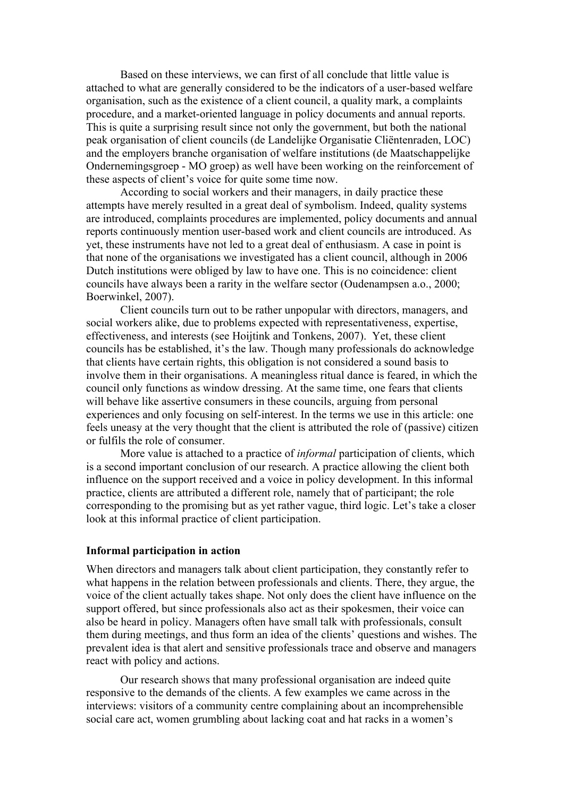Based on these interviews, we can first of all conclude that little value is attached to what are generally considered to be the indicators of a user-based welfare organisation, such as the existence of a client council, a quality mark, a complaints procedure, and a market-oriented language in policy documents and annual reports. This is quite a surprising result since not only the government, but both the national peak organisation of client councils (de Landelijke Organisatie Cliëntenraden, LOC) and the employers branche organisation of welfare institutions (de Maatschappelijke Ondernemingsgroep - MO groep) as well have been working on the reinforcement of these aspects of client's voice for quite some time now.

According to social workers and their managers, in daily practice these attempts have merely resulted in a great deal of symbolism. Indeed, quality systems are introduced, complaints procedures are implemented, policy documents and annual reports continuously mention user-based work and client councils are introduced. As yet, these instruments have not led to a great deal of enthusiasm. A case in point is that none of the organisations we investigated has a client council, although in 2006 Dutch institutions were obliged by law to have one. This is no coincidence: client councils have always been a rarity in the welfare sector (Oudenampsen a.o., 2000; Boerwinkel, 2007).

Client councils turn out to be rather unpopular with directors, managers, and social workers alike, due to problems expected with representativeness, expertise, effectiveness, and interests (see Hoijtink and Tonkens, 2007). Yet, these client councils has be established, it's the law. Though many professionals do acknowledge that clients have certain rights, this obligation is not considered a sound basis to involve them in their organisations. A meaningless ritual dance is feared, in which the council only functions as window dressing. At the same time, one fears that clients will behave like assertive consumers in these councils, arguing from personal experiences and only focusing on self-interest. In the terms we use in this article: one feels uneasy at the very thought that the client is attributed the role of (passive) citizen or fulfils the role of consumer.

More value is attached to a practice of *informal* participation of clients, which is a second important conclusion of our research. A practice allowing the client both influence on the support received and a voice in policy development. In this informal practice, clients are attributed a different role, namely that of participant; the role corresponding to the promising but as yet rather vague, third logic. Let's take a closer look at this informal practice of client participation.

#### **Informal participation in action**

When directors and managers talk about client participation, they constantly refer to what happens in the relation between professionals and clients. There, they argue, the voice of the client actually takes shape. Not only does the client have influence on the support offered, but since professionals also act as their spokesmen, their voice can also be heard in policy. Managers often have small talk with professionals, consult them during meetings, and thus form an idea of the clients' questions and wishes. The prevalent idea is that alert and sensitive professionals trace and observe and managers react with policy and actions.

Our research shows that many professional organisation are indeed quite responsive to the demands of the clients. A few examples we came across in the interviews: visitors of a community centre complaining about an incomprehensible social care act, women grumbling about lacking coat and hat racks in a women's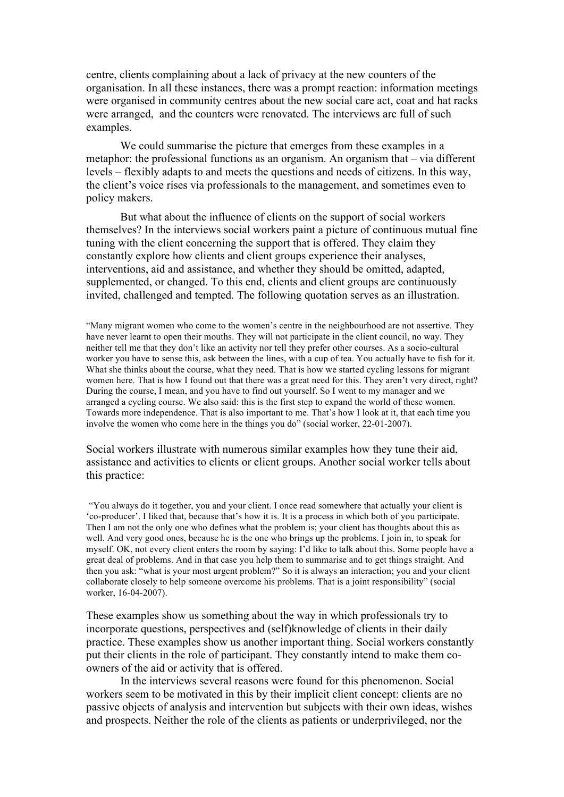centre, clients complaining about a lack of privacy at the new counters of the organisation. In all these instances, there was a prompt reaction: information meetings were organised in community centres about the new social care act, coat and hat racks were arranged, and the counters were renovated. The interviews are full of such examples.

We could summarise the picture that emerges from these examples in a metaphor: the professional functions as an organism. An organism that – via different levels – flexibly adapts to and meets the questions and needs of citizens. In this way, the client's voice rises via professionals to the management, and sometimes even to policy makers.

But what about the influence of clients on the support of social workers themselves? In the interviews social workers paint a picture of continuous mutual fine tuning with the client concerning the support that is offered. They claim they constantly explore how clients and client groups experience their analyses, interventions, aid and assistance, and whether they should be omitted, adapted, supplemented, or changed. To this end, clients and client groups are continuously invited, challenged and tempted. The following quotation serves as an illustration.

"Many migrant women who come to the women's centre in the neighbourhood are not assertive. They have never learnt to open their mouths. They will not participate in the client council, no way. They neither tell me that they don't like an activity nor tell they prefer other courses. As a socio-cultural worker you have to sense this, ask between the lines, with a cup of tea. You actually have to fish for it. What she thinks about the course, what they need. That is how we started cycling lessons for migrant women here. That is how I found out that there was a great need for this. They aren't very direct, right? During the course, I mean, and you have to find out yourself. So I went to my manager and we arranged a cycling course. We also said: this is the first step to expand the world of these women. Towards more independence. That is also important to me. That's how I look at it, that each time you involve the women who come here in the things you do" (social worker, 22-01-2007).

Social workers illustrate with numerous similar examples how they tune their aid, assistance and activities to clients or client groups. Another social worker tells about this practice:

"You always do it together, you and your client. I once read somewhere that actually your client is 'co-producer'. I liked that, because that's how it is. It is a process in which both of you participate. Then I am not the only one who defines what the problem is; your client has thoughts about this as well. And very good ones, because he is the one who brings up the problems. I join in, to speak for myself. OK, not every client enters the room by saying: I'd like to talk about this. Some people have a great deal of problems. And in that case you help them to summarise and to get things straight. And then you ask: "what is your most urgent problem?" So it is always an interaction; you and your client collaborate closely to help someone overcome his problems. That is a joint responsibility" (social worker, 16-04-2007).

These examples show us something about the way in which professionals try to incorporate questions, perspectives and (self)knowledge of clients in their daily practice. These examples show us another important thing. Social workers constantly put their clients in the role of participant. They constantly intend to make them coowners of the aid or activity that is offered.

In the interviews several reasons were found for this phenomenon. Social workers seem to be motivated in this by their implicit client concept: clients are no passive objects of analysis and intervention but subjects with their own ideas, wishes and prospects. Neither the role of the clients as patients or underprivileged, nor the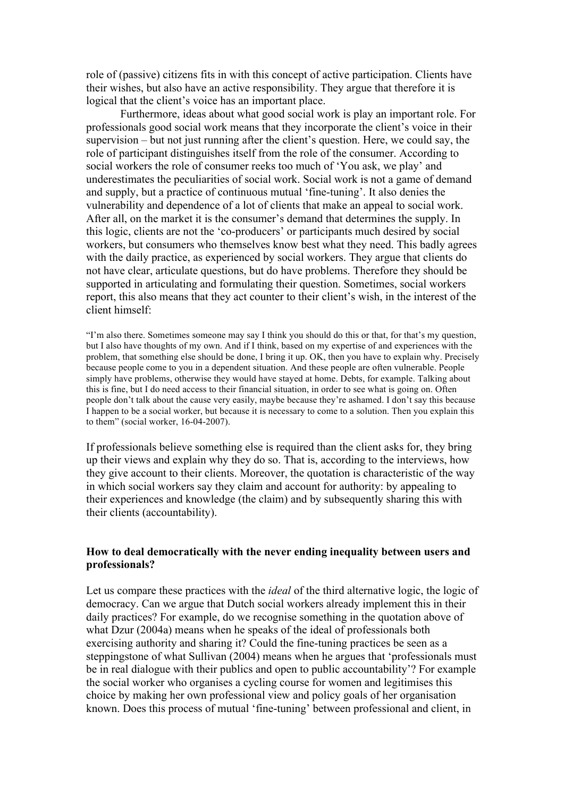role of (passive) citizens fits in with this concept of active participation. Clients have their wishes, but also have an active responsibility. They argue that therefore it is logical that the client's voice has an important place.

Furthermore, ideas about what good social work is play an important role. For professionals good social work means that they incorporate the client's voice in their supervision – but not just running after the client's question. Here, we could say, the role of participant distinguishes itself from the role of the consumer. According to social workers the role of consumer reeks too much of 'You ask, we play' and underestimates the peculiarities of social work. Social work is not a game of demand and supply, but a practice of continuous mutual 'fine-tuning'. It also denies the vulnerability and dependence of a lot of clients that make an appeal to social work. After all, on the market it is the consumer's demand that determines the supply. In this logic, clients are not the 'co-producers' or participants much desired by social workers, but consumers who themselves know best what they need. This badly agrees with the daily practice, as experienced by social workers. They argue that clients do not have clear, articulate questions, but do have problems. Therefore they should be supported in articulating and formulating their question. Sometimes, social workers report, this also means that they act counter to their client's wish, in the interest of the client himself:

"I'm also there. Sometimes someone may say I think you should do this or that, for that's my question, but I also have thoughts of my own. And if I think, based on my expertise of and experiences with the problem, that something else should be done, I bring it up. OK, then you have to explain why. Precisely because people come to you in a dependent situation. And these people are often vulnerable. People simply have problems, otherwise they would have stayed at home. Debts, for example. Talking about this is fine, but I do need access to their financial situation, in order to see what is going on. Often people don't talk about the cause very easily, maybe because they're ashamed. I don't say this because I happen to be a social worker, but because it is necessary to come to a solution. Then you explain this to them" (social worker, 16-04-2007).

If professionals believe something else is required than the client asks for, they bring up their views and explain why they do so. That is, according to the interviews, how they give account to their clients. Moreover, the quotation is characteristic of the way in which social workers say they claim and account for authority: by appealing to their experiences and knowledge (the claim) and by subsequently sharing this with their clients (accountability).

# **How to deal democratically with the never ending inequality between users and professionals?**

Let us compare these practices with the *ideal* of the third alternative logic, the logic of democracy. Can we argue that Dutch social workers already implement this in their daily practices? For example, do we recognise something in the quotation above of what Dzur (2004a) means when he speaks of the ideal of professionals both exercising authority and sharing it? Could the fine-tuning practices be seen as a steppingstone of what Sullivan (2004) means when he argues that 'professionals must be in real dialogue with their publics and open to public accountability'? For example the social worker who organises a cycling course for women and legitimises this choice by making her own professional view and policy goals of her organisation known. Does this process of mutual 'fine-tuning' between professional and client, in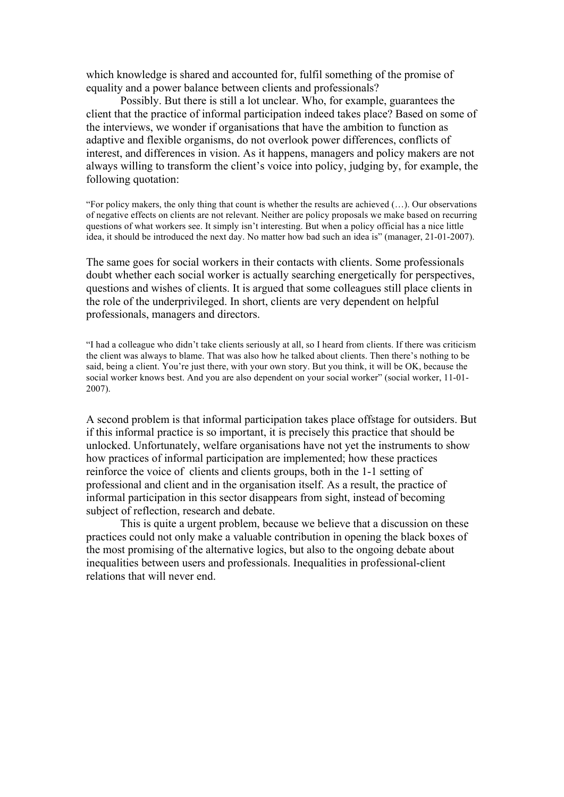which knowledge is shared and accounted for, fulfil something of the promise of equality and a power balance between clients and professionals?

Possibly. But there is still a lot unclear. Who, for example, guarantees the client that the practice of informal participation indeed takes place? Based on some of the interviews, we wonder if organisations that have the ambition to function as adaptive and flexible organisms, do not overlook power differences, conflicts of interest, and differences in vision. As it happens, managers and policy makers are not always willing to transform the client's voice into policy, judging by, for example, the following quotation:

"For policy makers, the only thing that count is whether the results are achieved (…). Our observations of negative effects on clients are not relevant. Neither are policy proposals we make based on recurring questions of what workers see. It simply isn't interesting. But when a policy official has a nice little idea, it should be introduced the next day. No matter how bad such an idea is" (manager, 21-01-2007).

The same goes for social workers in their contacts with clients. Some professionals doubt whether each social worker is actually searching energetically for perspectives, questions and wishes of clients. It is argued that some colleagues still place clients in the role of the underprivileged. In short, clients are very dependent on helpful professionals, managers and directors.

"I had a colleague who didn't take clients seriously at all, so I heard from clients. If there was criticism the client was always to blame. That was also how he talked about clients. Then there's nothing to be said, being a client. You're just there, with your own story. But you think, it will be OK, because the social worker knows best. And you are also dependent on your social worker" (social worker, 11-01- 2007).

A second problem is that informal participation takes place offstage for outsiders. But if this informal practice is so important, it is precisely this practice that should be unlocked. Unfortunately, welfare organisations have not yet the instruments to show how practices of informal participation are implemented; how these practices reinforce the voice of clients and clients groups, both in the 1-1 setting of professional and client and in the organisation itself. As a result, the practice of informal participation in this sector disappears from sight, instead of becoming subject of reflection, research and debate.

This is quite a urgent problem, because we believe that a discussion on these practices could not only make a valuable contribution in opening the black boxes of the most promising of the alternative logics, but also to the ongoing debate about inequalities between users and professionals. Inequalities in professional-client relations that will never end.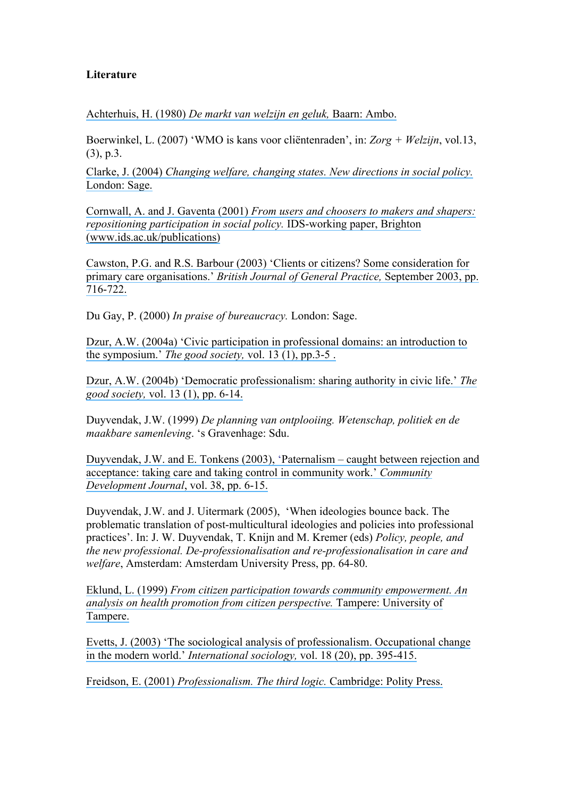# **Literature**

Achterhuis, H. (1980) *De markt van welzijn en geluk,* Baarn: Ambo.

Boerwinkel, L. (2007) 'WMO is kans voor cliëntenraden', in: *Zorg + Welzijn*, vol.13, (3), p.3.

Clarke, J. (2004) *Changing welfare, changing states. New directions in social policy.* London: Sage.

Cornwall, A. and J. Gaventa (2001) *From users and choosers to makers and shapers: repositioning participation in social policy.* **IDS-working paper**, Brighton (www.ids.ac.uk/publications)

Cawston, P.G. and R.S. Barbour (2003) 'Clients or citizens? Some consideration for primary care organisations.' *British Journal of General Practice,* September 2003, pp. 716-722.

Du Gay, P. (2000) *In praise of bureaucracy.* London: Sage.

Dzur, A.W. (2004a) 'Civic participation in professional domains: an introduction to the symposium.' *The good society,* vol. 13 (1), pp.3-5 .

Dzur, A.W. (2004b) 'Democratic professionalism: sharing authority in civic life.' *The good society,* vol. 13 (1), pp. 6-14.

Duyvendak, J.W. (1999) *De planning van ontplooiing. Wetenschap, politiek en de maakbare samenleving*. 's Gravenhage: Sdu.

Duyvendak, J.W. and E. Tonkens (2003), 'Paternalism – caught between rejection and acceptance: taking care and taking control in community work.' *Community Development Journal*, vol. 38, pp. 6-15.

Duyvendak, J.W. and J. Uitermark (2005), 'When ideologies bounce back. The problematic translation of post-multicultural ideologies and policies into professional practices'. In: J. W. Duyvendak, T. Knijn and M. Kremer (eds) *Policy, people, and the new professional. De-professionalisation and re-professionalisation in care and welfare*, Amsterdam: Amsterdam University Press, pp. 64-80.

Eklund, L. (1999) *From citizen participation towards community empowerment. An analysis on health promotion from citizen perspective.* Tampere: University of Tampere.

Evetts, J. (2003) 'The sociological analysis of professionalism. Occupational change in the modern world.' *International sociology,* vol. 18 (20), pp. 395-415.

Freidson, E. (2001) *Professionalism. The third logic.* Cambridge: Polity Press.